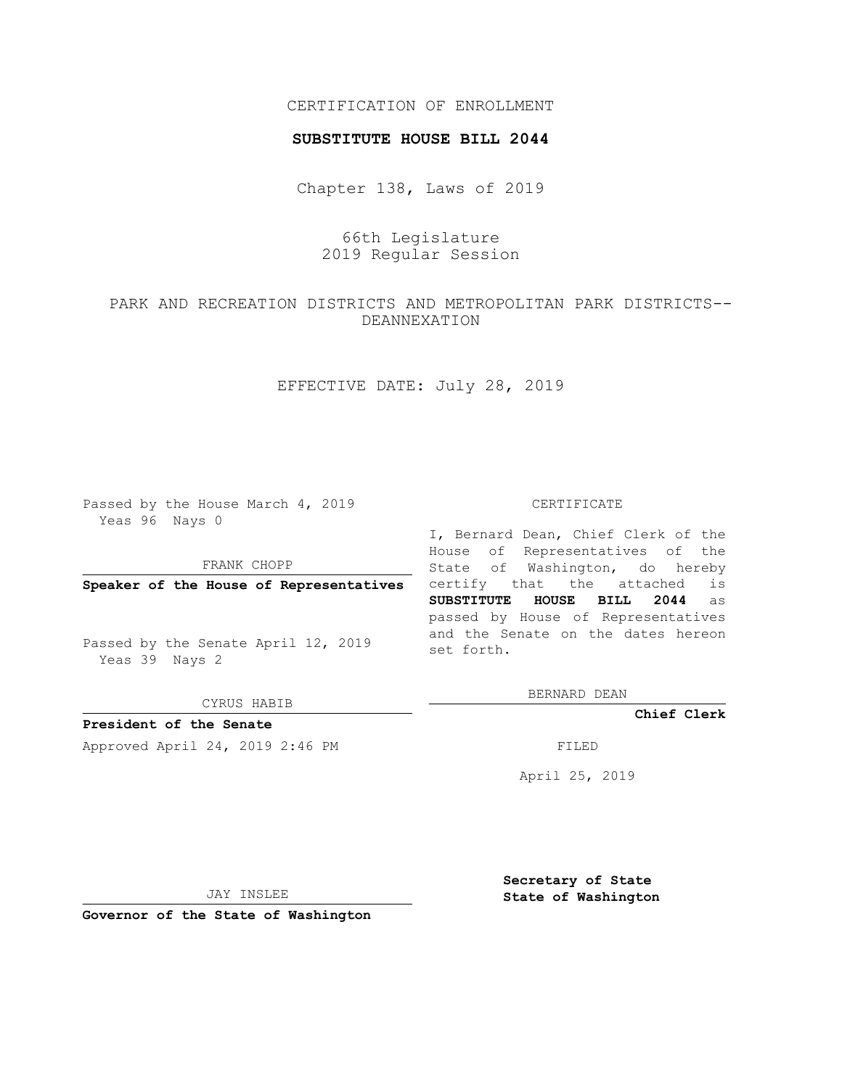## CERTIFICATION OF ENROLLMENT

#### **SUBSTITUTE HOUSE BILL 2044**

Chapter 138, Laws of 2019

# 66th Legislature 2019 Regular Session

# PARK AND RECREATION DISTRICTS AND METROPOLITAN PARK DISTRICTS-- DEANNEXATION

## EFFECTIVE DATE: July 28, 2019

Passed by the House March 4, 2019 Yeas 96 Nays 0

FRANK CHOPP

**Speaker of the House of Representatives**

Passed by the Senate April 12, 2019 Yeas 39 Nays 2

CYRUS HABIB

**President of the Senate**

Approved April 24, 2019 2:46 PM FILED

#### CERTIFICATE

I, Bernard Dean, Chief Clerk of the House of Representatives of the State of Washington, do hereby certify that the attached is **SUBSTITUTE HOUSE BILL 2044** as passed by House of Representatives and the Senate on the dates hereon set forth.

BERNARD DEAN

**Chief Clerk**

April 25, 2019

JAY INSLEE

**Governor of the State of Washington**

**Secretary of State State of Washington**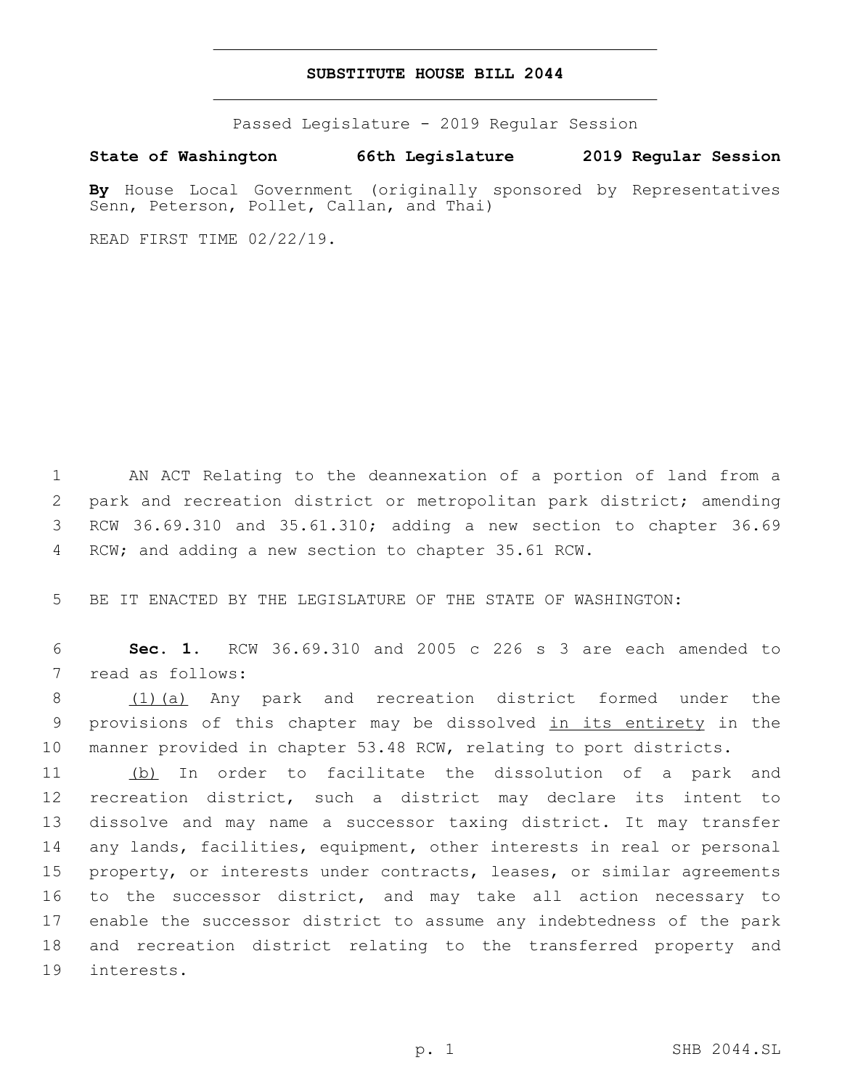### **SUBSTITUTE HOUSE BILL 2044**

Passed Legislature - 2019 Regular Session

**State of Washington 66th Legislature 2019 Regular Session**

**By** House Local Government (originally sponsored by Representatives Senn, Peterson, Pollet, Callan, and Thai)

READ FIRST TIME 02/22/19.

 AN ACT Relating to the deannexation of a portion of land from a park and recreation district or metropolitan park district; amending RCW 36.69.310 and 35.61.310; adding a new section to chapter 36.69 RCW; and adding a new section to chapter 35.61 RCW.

BE IT ENACTED BY THE LEGISLATURE OF THE STATE OF WASHINGTON:

 **Sec. 1.** RCW 36.69.310 and 2005 c 226 s 3 are each amended to 7 read as follows:

 (1)(a) Any park and recreation district formed under the 9 provisions of this chapter may be dissolved in its entirety in the manner provided in chapter 53.48 RCW, relating to port districts.

 (b) In order to facilitate the dissolution of a park and recreation district, such a district may declare its intent to dissolve and may name a successor taxing district. It may transfer any lands, facilities, equipment, other interests in real or personal property, or interests under contracts, leases, or similar agreements to the successor district, and may take all action necessary to enable the successor district to assume any indebtedness of the park and recreation district relating to the transferred property and 19 interests.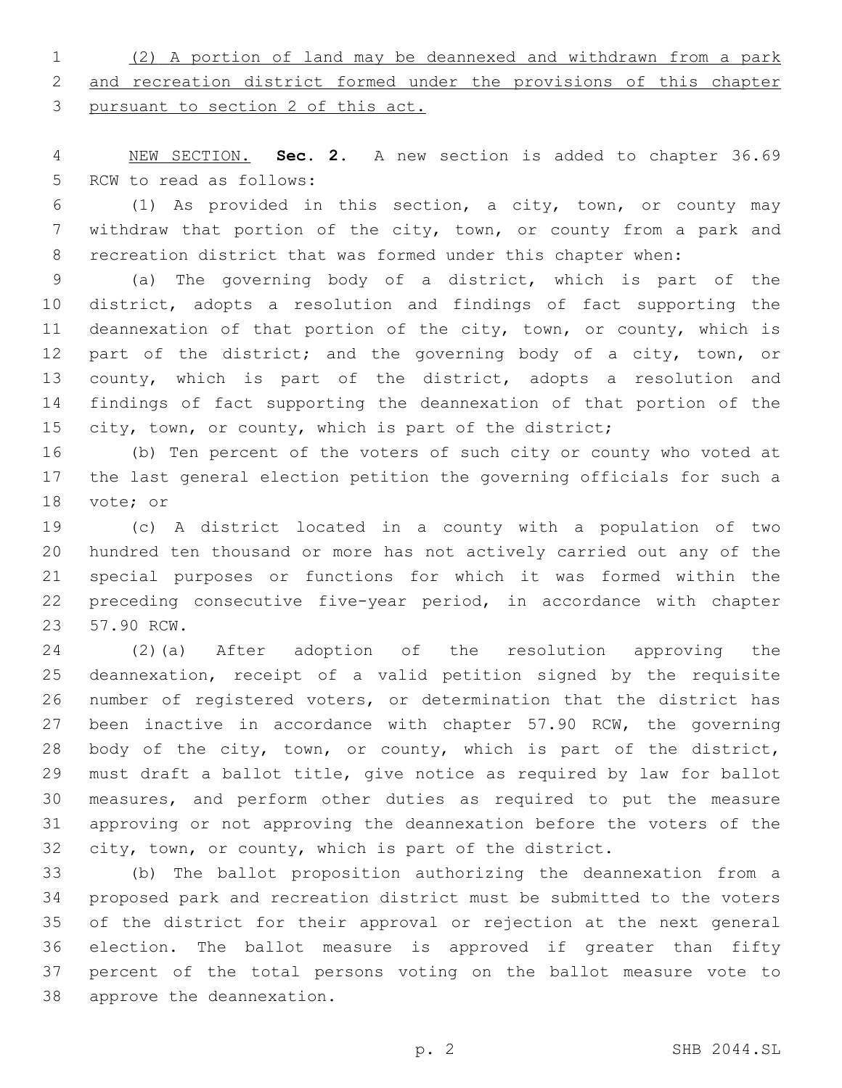(2) A portion of land may be deannexed and withdrawn from a park and recreation district formed under the provisions of this chapter pursuant to section 2 of this act.

 NEW SECTION. **Sec. 2.** A new section is added to chapter 36.69 5 RCW to read as follows:

 (1) As provided in this section, a city, town, or county may withdraw that portion of the city, town, or county from a park and recreation district that was formed under this chapter when:

 (a) The governing body of a district, which is part of the district, adopts a resolution and findings of fact supporting the deannexation of that portion of the city, town, or county, which is 12 part of the district; and the governing body of a city, town, or county, which is part of the district, adopts a resolution and findings of fact supporting the deannexation of that portion of the 15 city, town, or county, which is part of the district;

 (b) Ten percent of the voters of such city or county who voted at the last general election petition the governing officials for such a 18 vote; or

 (c) A district located in a county with a population of two hundred ten thousand or more has not actively carried out any of the special purposes or functions for which it was formed within the preceding consecutive five-year period, in accordance with chapter 23 57.90 RCW.

 (2)(a) After adoption of the resolution approving the deannexation, receipt of a valid petition signed by the requisite number of registered voters, or determination that the district has 27 been inactive in accordance with chapter 57.90 RCW, the governing body of the city, town, or county, which is part of the district, must draft a ballot title, give notice as required by law for ballot measures, and perform other duties as required to put the measure approving or not approving the deannexation before the voters of the city, town, or county, which is part of the district.

 (b) The ballot proposition authorizing the deannexation from a proposed park and recreation district must be submitted to the voters of the district for their approval or rejection at the next general election. The ballot measure is approved if greater than fifty percent of the total persons voting on the ballot measure vote to 38 approve the deannexation.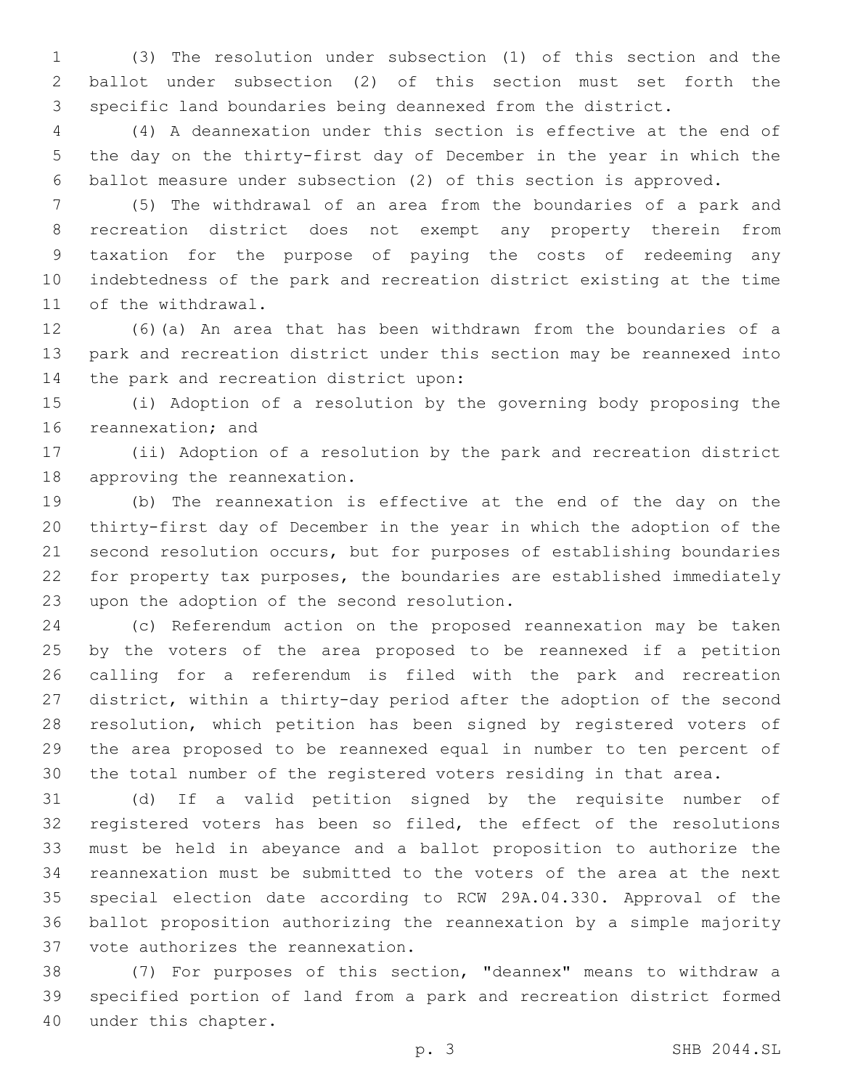(3) The resolution under subsection (1) of this section and the ballot under subsection (2) of this section must set forth the specific land boundaries being deannexed from the district.

 (4) A deannexation under this section is effective at the end of the day on the thirty-first day of December in the year in which the ballot measure under subsection (2) of this section is approved.

 (5) The withdrawal of an area from the boundaries of a park and recreation district does not exempt any property therein from taxation for the purpose of paying the costs of redeeming any indebtedness of the park and recreation district existing at the time 11 of the withdrawal.

 (6)(a) An area that has been withdrawn from the boundaries of a park and recreation district under this section may be reannexed into 14 the park and recreation district upon:

 (i) Adoption of a resolution by the governing body proposing the 16 reannexation; and

 (ii) Adoption of a resolution by the park and recreation district 18 approving the reannexation.

 (b) The reannexation is effective at the end of the day on the thirty-first day of December in the year in which the adoption of the second resolution occurs, but for purposes of establishing boundaries for property tax purposes, the boundaries are established immediately 23 upon the adoption of the second resolution.

 (c) Referendum action on the proposed reannexation may be taken by the voters of the area proposed to be reannexed if a petition calling for a referendum is filed with the park and recreation district, within a thirty-day period after the adoption of the second resolution, which petition has been signed by registered voters of the area proposed to be reannexed equal in number to ten percent of the total number of the registered voters residing in that area.

 (d) If a valid petition signed by the requisite number of registered voters has been so filed, the effect of the resolutions must be held in abeyance and a ballot proposition to authorize the reannexation must be submitted to the voters of the area at the next special election date according to RCW 29A.04.330. Approval of the ballot proposition authorizing the reannexation by a simple majority 37 vote authorizes the reannexation.

 (7) For purposes of this section, "deannex" means to withdraw a specified portion of land from a park and recreation district formed 40 under this chapter.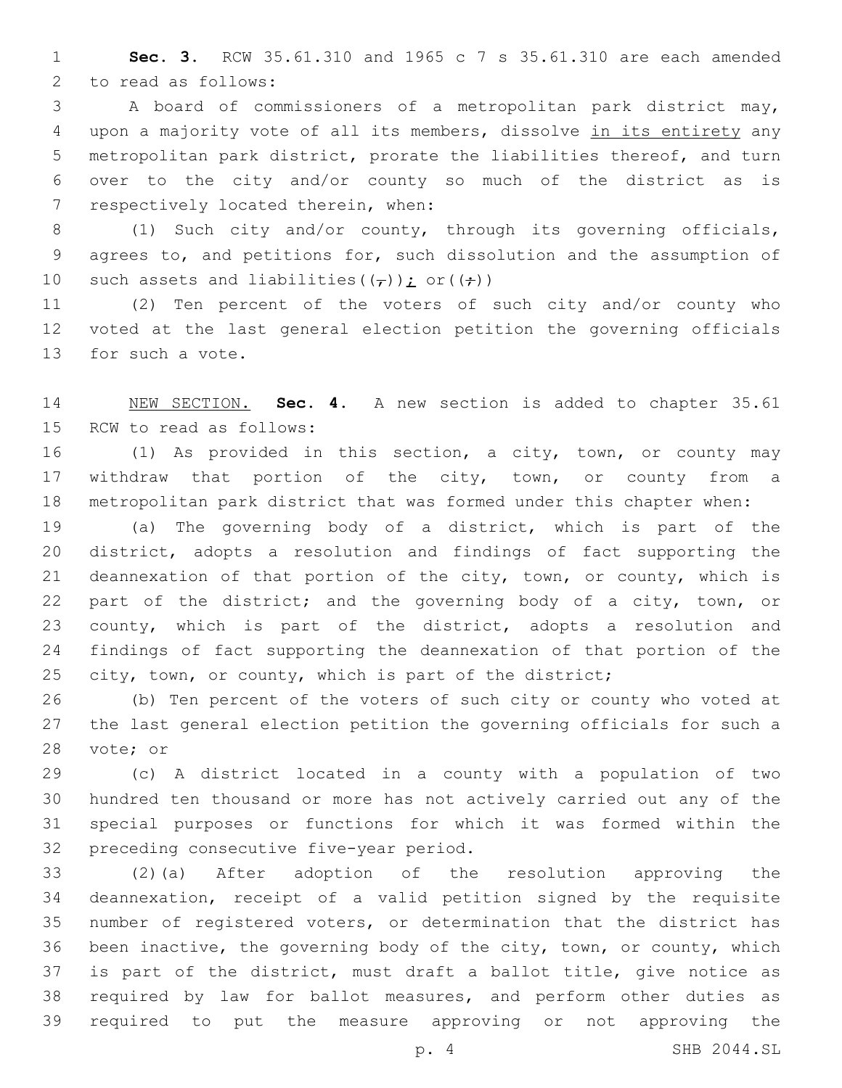**Sec. 3.** RCW 35.61.310 and 1965 c 7 s 35.61.310 are each amended 2 to read as follows:

 A board of commissioners of a metropolitan park district may, upon a majority vote of all its members, dissolve in its entirety any metropolitan park district, prorate the liabilities thereof, and turn over to the city and/or county so much of the district as is 7 respectively located therein, when:

8 (1) Such city and/or county, through its governing officials, agrees to, and petitions for, such dissolution and the assumption of 10 such assets and liabilities  $((f))$  or  $((f))$ 

 (2) Ten percent of the voters of such city and/or county who voted at the last general election petition the governing officials 13 for such a vote.

 NEW SECTION. **Sec. 4.** A new section is added to chapter 35.61 15 RCW to read as follows:

 (1) As provided in this section, a city, town, or county may 17 withdraw that portion of the city, town, or county from a metropolitan park district that was formed under this chapter when:

 (a) The governing body of a district, which is part of the district, adopts a resolution and findings of fact supporting the deannexation of that portion of the city, town, or county, which is part of the district; and the governing body of a city, town, or county, which is part of the district, adopts a resolution and findings of fact supporting the deannexation of that portion of the 25 city, town, or county, which is part of the district;

 (b) Ten percent of the voters of such city or county who voted at the last general election petition the governing officials for such a 28 vote; or

 (c) A district located in a county with a population of two hundred ten thousand or more has not actively carried out any of the special purposes or functions for which it was formed within the 32 preceding consecutive five-year period.

 (2)(a) After adoption of the resolution approving the deannexation, receipt of a valid petition signed by the requisite number of registered voters, or determination that the district has been inactive, the governing body of the city, town, or county, which is part of the district, must draft a ballot title, give notice as required by law for ballot measures, and perform other duties as required to put the measure approving or not approving the

p. 4 SHB 2044.SL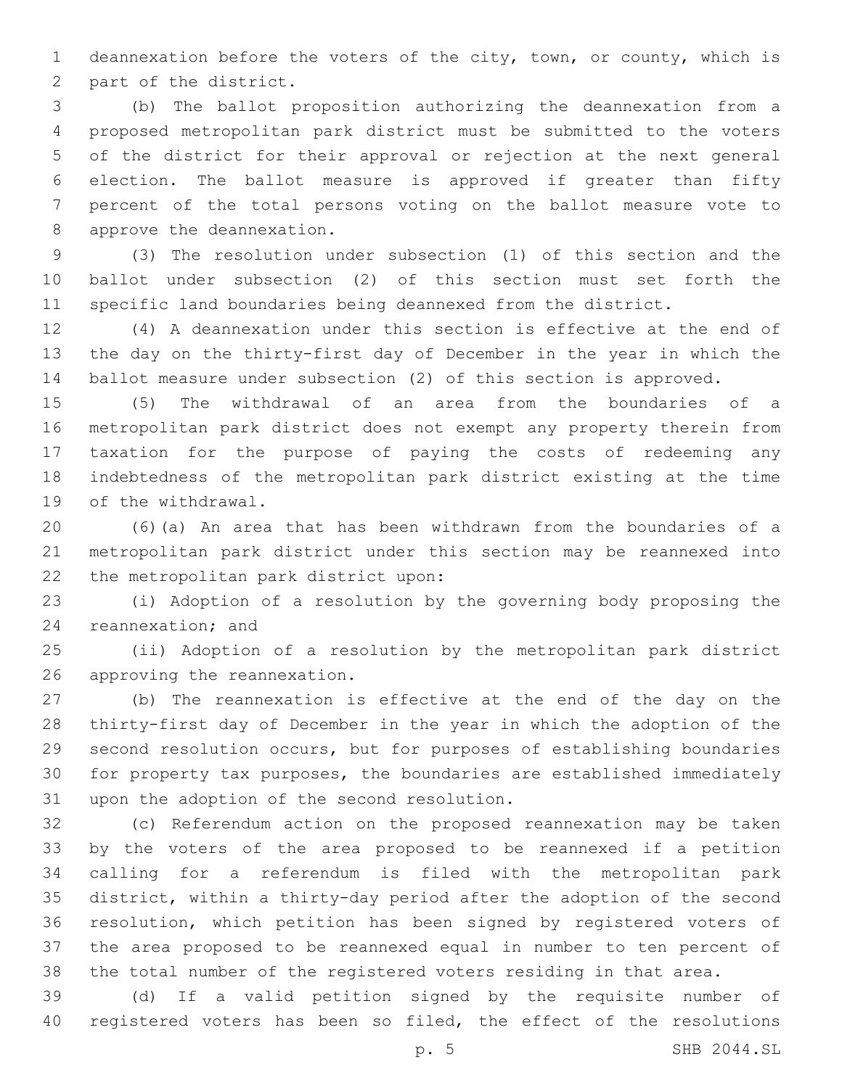deannexation before the voters of the city, town, or county, which is 2 part of the district.

 (b) The ballot proposition authorizing the deannexation from a proposed metropolitan park district must be submitted to the voters of the district for their approval or rejection at the next general election. The ballot measure is approved if greater than fifty percent of the total persons voting on the ballot measure vote to 8 approve the deannexation.

 (3) The resolution under subsection (1) of this section and the ballot under subsection (2) of this section must set forth the specific land boundaries being deannexed from the district.

 (4) A deannexation under this section is effective at the end of the day on the thirty-first day of December in the year in which the ballot measure under subsection (2) of this section is approved.

 (5) The withdrawal of an area from the boundaries of a metropolitan park district does not exempt any property therein from taxation for the purpose of paying the costs of redeeming any indebtedness of the metropolitan park district existing at the time 19 of the withdrawal.

 (6)(a) An area that has been withdrawn from the boundaries of a metropolitan park district under this section may be reannexed into 22 the metropolitan park district upon:

 (i) Adoption of a resolution by the governing body proposing the 24 reannexation; and

 (ii) Adoption of a resolution by the metropolitan park district 26 approving the reannexation.

 (b) The reannexation is effective at the end of the day on the thirty-first day of December in the year in which the adoption of the second resolution occurs, but for purposes of establishing boundaries for property tax purposes, the boundaries are established immediately 31 upon the adoption of the second resolution.

 (c) Referendum action on the proposed reannexation may be taken by the voters of the area proposed to be reannexed if a petition calling for a referendum is filed with the metropolitan park district, within a thirty-day period after the adoption of the second resolution, which petition has been signed by registered voters of the area proposed to be reannexed equal in number to ten percent of the total number of the registered voters residing in that area.

 (d) If a valid petition signed by the requisite number of registered voters has been so filed, the effect of the resolutions